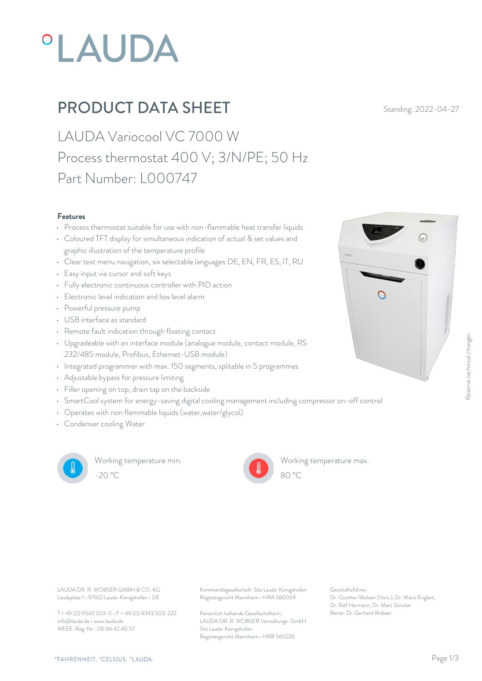# **°LAUDA**

## **PRODUCT DATA SHEET** Standing: 2022-04-27

LAUDA Variocool VC 7000 W Process thermostat 400 V; 3/N/PE; 50 Hz Part Number: L000747

#### Features

- Process thermostat suitable for use with non-flammable heat transfer liquids
- Coloured TFT display for simultaneous indication of actual & set values and graphic illustration of the temperature profile
- Clear text menu navigation, six selectable languages DE, EN, FR, ES, IT, RU
- Easy input via cursor and soft keys
- Fully electronic continuous controller with PID action
- Electronic level indication and low level alarm  $\Box$
- Powerful pressure pump
- USB interface as standard
- Remote fault indication through floating contact
- Upgradeable with an interface module (analogue module, contact module, RS 232/485 module, Profibus, Ethernet-USB module)
- Integrated programmer with max. 150 segments, splitable in 5 programmes
- Adjustable bypass for pressure limiting
- Filler opening on top, drain tap on the backside
- SmartCool system for energy-saving digital cooling management including compressor on-off control
- Operates with non flammable liquids (water,water/glycol)
- Condenser cooling Water



Working temperature min. -20 °C 80 °C

Working temperature max.



Laudaplatz 1 • 97922 Lauda-Königshofen • DE

T + 49 (0) 9343 503-0 • F + 49 (0) 9343 503-222 info@lauda.de • www.lauda.de WEEE-Reg-Nr.: DE 66 42 40 57

LAUDA DR. R. WOBSER GMBH & CO. KG Kommanditgesellschaft: Sitz Lauda-Königshofen Geschäftsführer: Registergericht Mannheim • HRA 560069

> Persönlich haftende Gesellschafterin: Beirat: Dr. Gerhard Wobse LAUDA DR. R. WOBSER Verwaltungs-GmbH Sitz Lauda-Königshofen Registergericht Mannheim • HRB 560226

Geschäftsführer: Dr. Gunther Wobser (Vors.), Dr. Mario Englert, Dr. Ralf Hermann, Dr. Marc Stricker

80 °C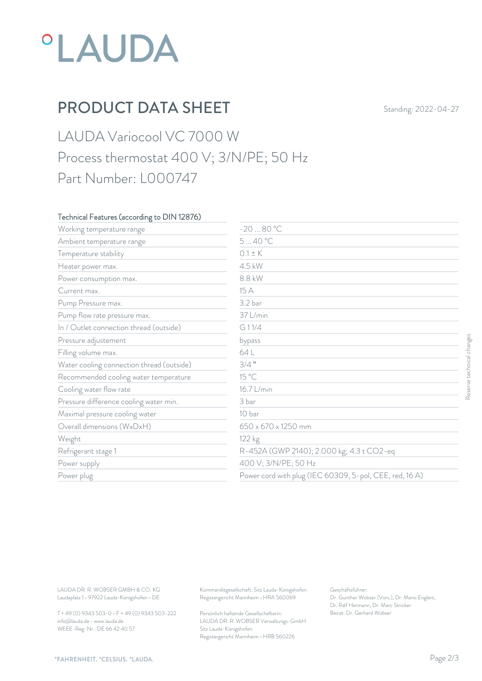## *°LAUDA*

## PRODUCT DATA SHEET Standing: 2022-04-27

### LAUDA Variocool VC 7000 W Process thermostat 400 V; 3/N/PE; 50 Hz Part Number: L000747

#### Technical Features (according to DIN 12876)

| Working temperature range                                                        | $-2080 °C$                                                                             |                                                                                                           |                           |
|----------------------------------------------------------------------------------|----------------------------------------------------------------------------------------|-----------------------------------------------------------------------------------------------------------|---------------------------|
| Ambient temperature range                                                        | 540 °C                                                                                 |                                                                                                           |                           |
| Temperature stability                                                            | $0.1 \pm K$                                                                            |                                                                                                           |                           |
| Heater power max.                                                                | 4.5 kW                                                                                 |                                                                                                           |                           |
| Power consumption max.                                                           | 8.8 kW                                                                                 |                                                                                                           |                           |
| Current max.                                                                     | 15 A                                                                                   |                                                                                                           |                           |
| Pump Pressure max.                                                               | 3.2 bar                                                                                |                                                                                                           |                           |
| Pump flow rate pressure max.                                                     | 37 L/min                                                                               |                                                                                                           |                           |
| In / Outlet connection thread (outside)                                          | G11/4                                                                                  |                                                                                                           |                           |
| Pressure adjustement                                                             | bypass                                                                                 |                                                                                                           |                           |
| Filling volume max.                                                              | 64 L                                                                                   |                                                                                                           | Reserve technical changes |
| Water cooling connection thread (outside)                                        | $3/4$ "                                                                                |                                                                                                           |                           |
| Recommended cooling water temperature                                            | 15 °C                                                                                  |                                                                                                           |                           |
| Cooling water flow rate                                                          | 16.7 L/min                                                                             |                                                                                                           |                           |
| Pressure difference cooling water min.                                           | 3 bar                                                                                  |                                                                                                           |                           |
| Maximal pressure cooling water                                                   | 10 bar                                                                                 |                                                                                                           |                           |
| Overall dimensions (WxDxH)                                                       | 650 x 670 x 1250 mm                                                                    |                                                                                                           |                           |
| Weight                                                                           | 122 kg                                                                                 |                                                                                                           |                           |
| Refrigerant stage 1                                                              |                                                                                        | R-452A (GWP 2140); 2.000 kg; 4.3 t CO2-eq                                                                 |                           |
| Power supply                                                                     |                                                                                        | 400 V; 3/N/PE; 50 Hz                                                                                      |                           |
| Power plug                                                                       |                                                                                        | Power cord with plug (IEC 60309, 5-pol, CEE, red, 16A)                                                    |                           |
|                                                                                  |                                                                                        |                                                                                                           |                           |
| LAUDA DR. R. WOBSER GMBH & CO. KG<br>Laudaplatz 1 · 97922 Lauda-Königshofen · DE | Kommanditgesellschaft: Sitz Lauda-Königshofen<br>Registergericht Mannheim · HRA 560069 | Geschäftsführer:<br>Dr. Gunther Wobser (Vors.), Dr. Mario Englert,<br>Dr. Ralf Hermann, Dr. Marc Stricker |                           |
| T + 49 (0) 9343 503-0 · F + 49 (0) 9343 503-222                                  | Persönlich haftende Gesellschafterin:                                                  | Beirat: Dr. Gerhard Wobser                                                                                |                           |

T + 49 (0) 9343 503-0 • F + 49 (0) 9343 503-222 info@lauda.de • www.lauda.de WEEE-Reg-Nr.: DE 66 42 40 57

> Persönlich haftende Gesellschafterin: Beirat: Dr. Gerhard Wobse LAUDA DR. R. WOBSER Verwaltungs-GmbH Sitz Lauda-Königshofen Registergericht Mannheim • HRB 560226